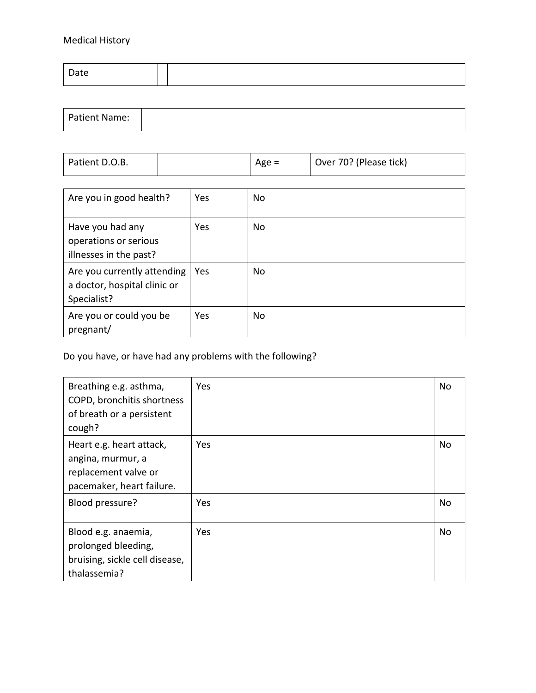## Medical History

| Patient Name: |  |  |
|---------------|--|--|
|               |  |  |

| Patient D.O.B. | Age $=$ | Over 70? (Please tick) |
|----------------|---------|------------------------|
|                |         |                        |

| Are you in good health?                                                    | Yes | No        |
|----------------------------------------------------------------------------|-----|-----------|
| Have you had any<br>operations or serious<br>illnesses in the past?        | Yes | <b>No</b> |
| Are you currently attending<br>a doctor, hospital clinic or<br>Specialist? | Yes | <b>No</b> |
| Are you or could you be<br>pregnant/                                       | Yes | <b>No</b> |

Do you have, or have had any problems with the following?

| Breathing e.g. asthma,<br>COPD, bronchitis shortness<br>of breath or a persistent<br>cough?        | Yes | No  |
|----------------------------------------------------------------------------------------------------|-----|-----|
| Heart e.g. heart attack,<br>angina, murmur, a<br>replacement valve or<br>pacemaker, heart failure. | Yes | No  |
| Blood pressure?                                                                                    | Yes | No  |
| Blood e.g. anaemia,<br>prolonged bleeding,<br>bruising, sickle cell disease,<br>thalassemia?       | Yes | No. |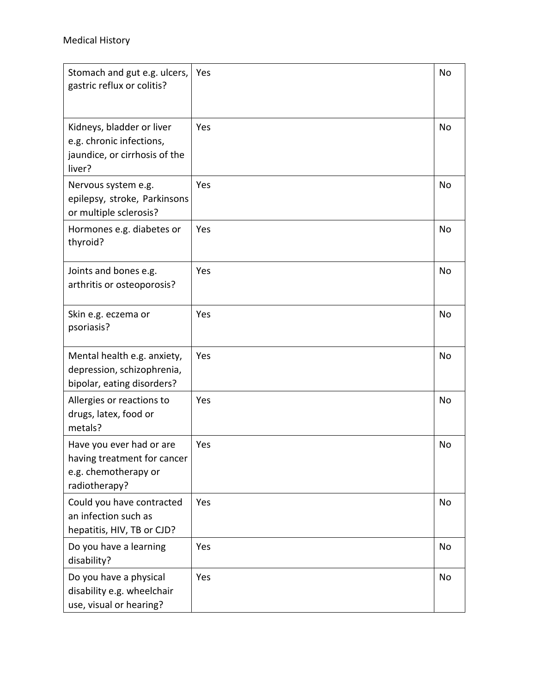| Stomach and gut e.g. ulcers,<br>gastric reflux or colitis?                                       | Yes | No |
|--------------------------------------------------------------------------------------------------|-----|----|
| Kidneys, bladder or liver<br>e.g. chronic infections,<br>jaundice, or cirrhosis of the<br>liver? | Yes | No |
| Nervous system e.g.<br>epilepsy, stroke, Parkinsons<br>or multiple sclerosis?                    | Yes | No |
| Hormones e.g. diabetes or<br>thyroid?                                                            | Yes | No |
| Joints and bones e.g.<br>arthritis or osteoporosis?                                              | Yes | No |
| Skin e.g. eczema or<br>psoriasis?                                                                | Yes | No |
| Mental health e.g. anxiety,<br>depression, schizophrenia,<br>bipolar, eating disorders?          | Yes | No |
| Allergies or reactions to<br>drugs, latex, food or<br>metals?                                    | Yes | No |
| Have you ever had or are<br>having treatment for cancer<br>e.g. chemotherapy or<br>radiotherapy? | Yes | No |
| Could you have contracted<br>an infection such as<br>hepatitis, HIV, TB or CJD?                  | Yes | No |
| Do you have a learning<br>disability?                                                            | Yes | No |
| Do you have a physical<br>disability e.g. wheelchair<br>use, visual or hearing?                  | Yes | No |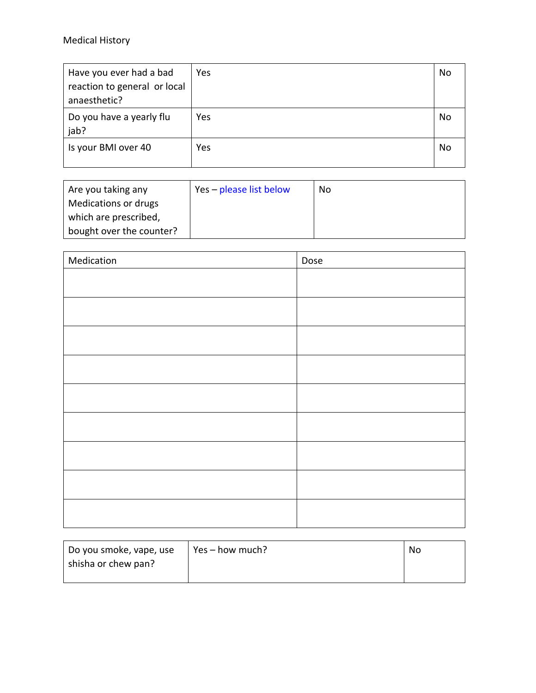## Medical History

| Have you ever had a bad      | Yes | No |
|------------------------------|-----|----|
| reaction to general or local |     |    |
| anaesthetic?                 |     |    |
| Do you have a yearly flu     | Yes | No |
| jab?                         |     |    |
| Is your BMI over 40          | Yes | No |
|                              |     |    |

| Are you taking any       | Yes – please list below | No |
|--------------------------|-------------------------|----|
| Medications or drugs     |                         |    |
| which are prescribed,    |                         |    |
| bought over the counter? |                         |    |

| Medication | Dose |
|------------|------|
|            |      |
|            |      |
|            |      |
|            |      |
|            |      |
|            |      |
|            |      |
|            |      |
|            |      |

| Do you smoke, vape, use | $Yes - how much?$ | No |
|-------------------------|-------------------|----|
| shisha or chew pan?     |                   |    |
|                         |                   |    |